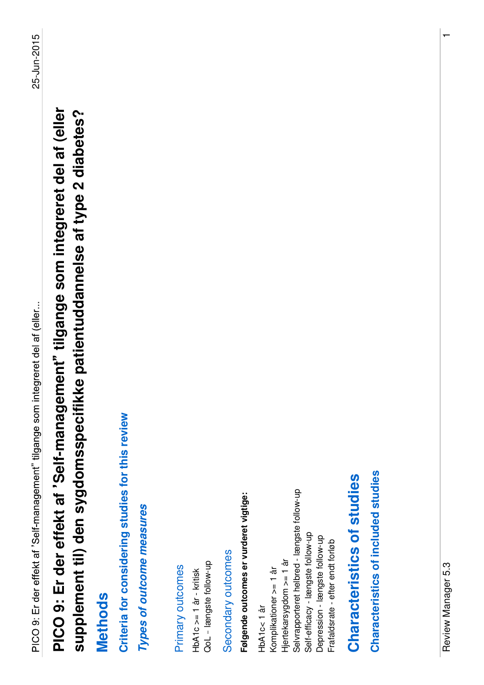# **PICO 9: Er der effekt af Self-management tilgange som integreret del af (eller**  PICO 9: Er der effekt af 'Self-management" tilgange som integreret del af (eller supplement til) den sygdomsspecifikke patientuddannelse af type 2 diabetes? **supplement til) den sygdomsspecifikke patientuddannelse af type 2 diabetes? Methods**

Criteria for considering studies for this review **Criteria for considering studies for this review**

Types of outcome measures **Types of outcome measures**

Primary outcomes Primary outcomes

QoL - længste follow-up QoL - længste follow-up HbA1c >= 1 år - kritisk HbA1c >= 1 år - kritisk

Secondary outcomes Secondary outcomes Følgende outcomes er vurderet vigtige: **Følgende outcomes er vurderet vigtige:**

Selvrapporteret helbred - længste follow-up Selvrapporteret helbred - længste follow-up Self-efficacy - længste follow-up Self-efficacy - længste follow-up Depression - længste follow-up Depression - længste follow-up Frafaldsrate - efter endt forløb Frafaldsrate - efter endt forløb Hjertekarsygdom >= 1 år Hjertekarsygdom >= 1 år Komplikationer >= 1 år Komplikationer >= 1 år HbA1c< 1 år HbA1c<1 år

# Characteristics of studies **Characteristics of studies**

Characteristics of included studies **Characteristics of included studies**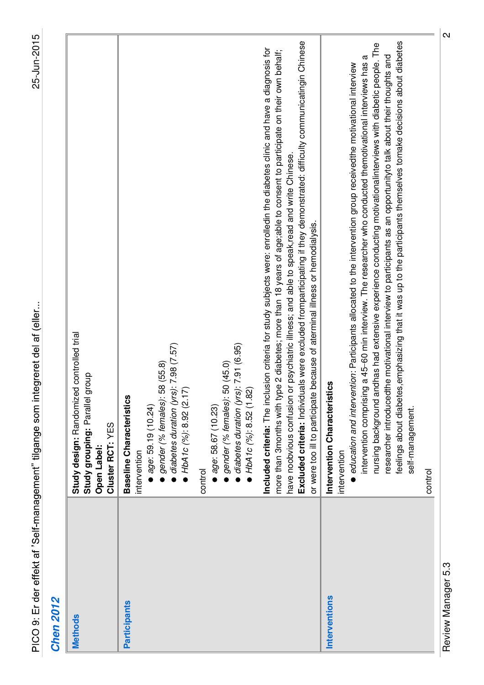| PICO 9: Er der effekt af 'Self-management' tilgange som integreret del af (eller |  |
|----------------------------------------------------------------------------------|--|
|                                                                                  |  |
|                                                                                  |  |
|                                                                                  |  |
|                                                                                  |  |
|                                                                                  |  |
|                                                                                  |  |
|                                                                                  |  |
|                                                                                  |  |
|                                                                                  |  |
|                                                                                  |  |
|                                                                                  |  |
|                                                                                  |  |
|                                                                                  |  |
|                                                                                  |  |
|                                                                                  |  |
|                                                                                  |  |
|                                                                                  |  |
|                                                                                  |  |
|                                                                                  |  |
|                                                                                  |  |
|                                                                                  |  |
|                                                                                  |  |
|                                                                                  |  |
|                                                                                  |  |
|                                                                                  |  |
|                                                                                  |  |
|                                                                                  |  |

### **Chen 2012**

| <b>Methods</b>      | Study design: Randomized controlled trial<br>diord<br>Study grouping: Parallel<br>Cluster RCT: YES<br>Open Label:                                                                                                                                                                                                                                                                                                                                                                                                                                                                                                                                               |
|---------------------|-----------------------------------------------------------------------------------------------------------------------------------------------------------------------------------------------------------------------------------------------------------------------------------------------------------------------------------------------------------------------------------------------------------------------------------------------------------------------------------------------------------------------------------------------------------------------------------------------------------------------------------------------------------------|
| <b>Participants</b> | diabetes duration (yrs): 7.98 (7.57)<br>58 (55.8)<br>$\overline{5}$<br><b>Baseline Characteristics</b><br>gender (% females):<br>$HbA1c$ (%): 8.92 (2.1<br>age: 59.19 (10.24)<br>intervention                                                                                                                                                                                                                                                                                                                                                                                                                                                                   |
|                     | $\bullet$ diabetes duration (yrs): 7.91 (6.95)<br>50 (45.0)<br>$HDA1C$ (%): 8.52 (1.82)<br>gender (% females):<br>age: 58.67 (10.23)<br>control                                                                                                                                                                                                                                                                                                                                                                                                                                                                                                                 |
|                     | Excluded criteria: Individuals were excluded fromparticipating if they demonstrated: difficulty communicatingin Chinese<br>Included criteria: The inclusion criteria for study subjects were: enrolledin the diabetes clinic and have a diagnosis for<br>more than 3months with type 2 diabetes; more than 18 years of age;able to consent to participate on their own behalf;<br>have noobvious confusion or psychiatric illness; and able to speak, read and write Chinese.<br>or were too ill to participate because of aterminal illness or hemodialysis.                                                                                                   |
| Interventions       | feelings about diabetes, emphasizing that it was up to the participants themselves tomake decisions about diabetes<br>nursing background andhas had extensive experience conducting motivationalinterviews with diabetic people. The<br>researcher introducedthe motivational interview to participants as an opportunityto talk about their thoughts and<br>intervention comprising a 45-60 min interview. The researcher who conducted themotivational interviews has a<br>education and intervention: Participants allocated to the intervention group receivedthe motivational interview<br>Intervention Characteristics<br>self-management.<br>ntervention |
|                     | control                                                                                                                                                                                                                                                                                                                                                                                                                                                                                                                                                                                                                                                         |

Review Manager 5.3 2 Review Manager 5.3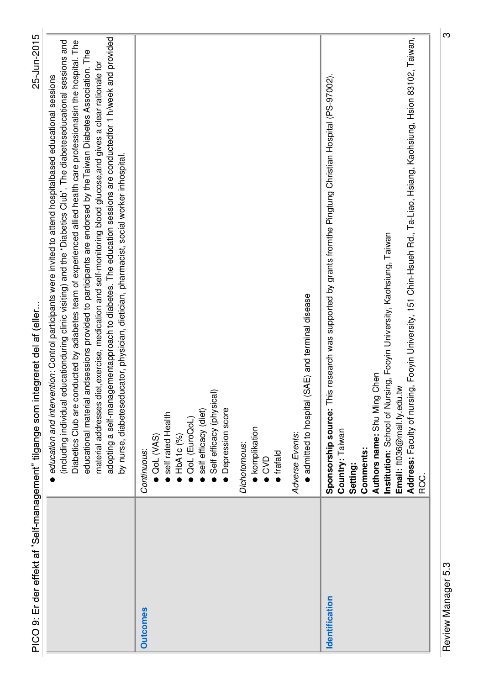|                 | 25-Jun-2015<br>PICO 9: Er der effekt af 'Self-management" tilgange som integreret del af (eller                                                                                                                                                                                                                                                                                                                                                                                                                                                                                                                                                                                                                                                                                                             |
|-----------------|-------------------------------------------------------------------------------------------------------------------------------------------------------------------------------------------------------------------------------------------------------------------------------------------------------------------------------------------------------------------------------------------------------------------------------------------------------------------------------------------------------------------------------------------------------------------------------------------------------------------------------------------------------------------------------------------------------------------------------------------------------------------------------------------------------------|
|                 | adopting a self-managementapproach to diabetes. The education sessions are conductedfor 1 h/week and provided<br>Diabetics Club are conducted by adiabetes team of experienced allied health care professionalsin the hospital. The<br>(including individual educationduring clinic visiting) and the 'Diabetics Club'. The diabeteseducational sessions and<br>educational material andsessions provided to participants are endorsed by the Taiwan Diabetes Association. The<br>material addresses diet, exercise, medication and self-monitoring blood glucose, and gives a clear rationale for<br>education and intervention: Control participants were invited to attend hospitalbased educational sessions<br>by nurse, diabeteseducator, physician, dietician, pharmacist, social worker inhospital. |
| <b>Outcomes</b> | Self efficacy (physical)<br>Depression score<br>self efficacy (diet)<br>self rated Health<br>QoL (EuroQoL)<br><b>komplikation</b><br>Adverse Events:<br>HbA1c (%)<br>OoL (VAS)<br>Dichotomous:<br>Continuous:<br>frafald<br>OVD                                                                                                                                                                                                                                                                                                                                                                                                                                                                                                                                                                             |
| Identification  | research was supported by grants fromthe Pingtung Christian Hospital (PS-97002).<br>AE) and terminal disease<br>admitted to hospital (S<br>Sponsorship source: This<br>Country: Taiwan                                                                                                                                                                                                                                                                                                                                                                                                                                                                                                                                                                                                                      |
|                 | Address: Faculty of nursing, Fooyin University, 151 Chin-Hsueh Rd., Ta-Liao, Hsiang, Kaohsiung, Hsion 83102, Taiwan,<br>Institution: School of Nursing, Fooyin University, Kaohsiung, Taiwan<br>Authors name: Shu Ming Chen<br>Email: ft036@mail.fy.edu.tw<br>Comments:<br>Setting:<br>ROC.                                                                                                                                                                                                                                                                                                                                                                                                                                                                                                                 |

Review Manager 5.3 3 Review Manager 5.3

ო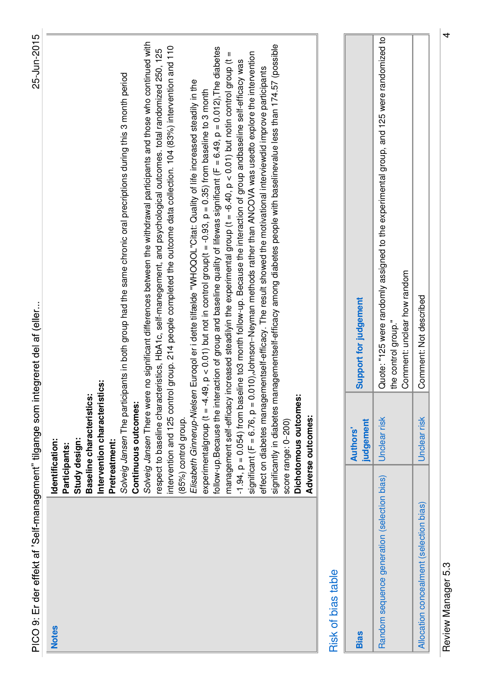| PICO 9: Er der effekt af 'Self-management' tilgange som integreret del af (eller |                                                                                                                                                                                                                                                       | 25-Jun-2015                                                                                                                                                                                                                                                                                                                                                                                                                                                                                                                                                                                                                                                                                                                                                                                                                                                                                                                                                                                                                                                                                                                                                                                                                                                                                                                                                                                                                                                                      |
|----------------------------------------------------------------------------------|-------------------------------------------------------------------------------------------------------------------------------------------------------------------------------------------------------------------------------------------------------|----------------------------------------------------------------------------------------------------------------------------------------------------------------------------------------------------------------------------------------------------------------------------------------------------------------------------------------------------------------------------------------------------------------------------------------------------------------------------------------------------------------------------------------------------------------------------------------------------------------------------------------------------------------------------------------------------------------------------------------------------------------------------------------------------------------------------------------------------------------------------------------------------------------------------------------------------------------------------------------------------------------------------------------------------------------------------------------------------------------------------------------------------------------------------------------------------------------------------------------------------------------------------------------------------------------------------------------------------------------------------------------------------------------------------------------------------------------------------------|
| <b>Notes</b>                                                                     | Intervention characteristics:<br>Baseline characteristics:<br>Dichotomous outcomes:<br>Continuous outcomes:<br>Adverse outcomes:<br>(85%) control group.<br>score range: 0-200)<br>Study design:<br>Identification:<br>Pretreatment:<br>Participants: | Solveig Jansen There were no significant differences between the withdrawal participants and those who continued with<br>significantly in diabetes managementself-efficacy among diabetes people with baselinevalue less than 174.57 (possible<br>intervention and 125 control group. 214 people completed the outcome data collection. 104 (83%) intervention and 110<br>follow-up. Because the interaction of group and baseline quality of lifewas significant (F = 6.49, p = 0.012), The diabetes<br>respect to baseline characteristics, HbA1c, self-manegement, and psychological outcomes. total randomized 250, 125<br>significant (F = 6.76, p = 0.010), Johnson-Neyman methods rather than ANCOVA was usedto explore the intervention<br>management self-efficacy increased steadilyin the experimental group (t = -6.40, p < 0.01) but notin control group (t =<br>-1.94, $p = 0.054$ ) from baseline to3 month follow-up. Because the interaction of group andbaseline self-efficacy was<br>effect on diabetes managementself-efficacy. The result showed the motivational interviewdid improve participants<br>Solveig Jansen The participants in both group had the same chronic oral precriptions during this 3 month period<br>Elisabeth Ginnerup-Nielsen Euroqol er i dette tilfælde "WHOQOL"Citat: Quality of life increased steadily in the<br>experimentalgroup (t = -4.49, p < 0.01) but not in control group(t = -0.93, p = 0.35) from baseline to 3 month |
| Risk of bias table                                                               |                                                                                                                                                                                                                                                       |                                                                                                                                                                                                                                                                                                                                                                                                                                                                                                                                                                                                                                                                                                                                                                                                                                                                                                                                                                                                                                                                                                                                                                                                                                                                                                                                                                                                                                                                                  |
| <b>Bias</b>                                                                      | judgement<br><b>Authors'</b>                                                                                                                                                                                                                          | Support for judgement                                                                                                                                                                                                                                                                                                                                                                                                                                                                                                                                                                                                                                                                                                                                                                                                                                                                                                                                                                                                                                                                                                                                                                                                                                                                                                                                                                                                                                                            |
| Random sequence generation (selection bias)                                      | Unclear risk                                                                                                                                                                                                                                          | Quote: "125 were randomly assigned to the experimental group, and 125 were randomized to<br>Comment: unclear how random<br>the control group."                                                                                                                                                                                                                                                                                                                                                                                                                                                                                                                                                                                                                                                                                                                                                                                                                                                                                                                                                                                                                                                                                                                                                                                                                                                                                                                                   |
| Allocation concealment (selection bias)                                          | Unclear risk                                                                                                                                                                                                                                          | Comment: Not described                                                                                                                                                                                                                                                                                                                                                                                                                                                                                                                                                                                                                                                                                                                                                                                                                                                                                                                                                                                                                                                                                                                                                                                                                                                                                                                                                                                                                                                           |

Review Manager 5.3 4 Review Manager 5.3

 $\overline{a}$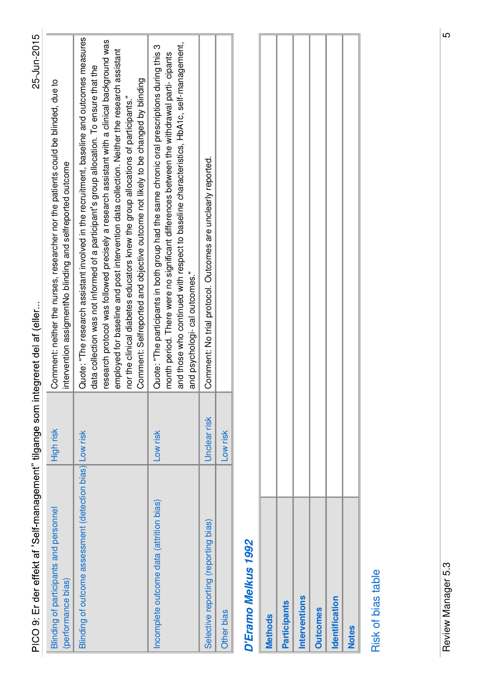| PICO 9: Er der effekt af 'Self-management" tilgange som integreret del af (eller |              | 25-Jun-2015                                                                                                                                                                                                                                                                                                                                                                                                                                                                                                                                                   |  |
|----------------------------------------------------------------------------------|--------------|---------------------------------------------------------------------------------------------------------------------------------------------------------------------------------------------------------------------------------------------------------------------------------------------------------------------------------------------------------------------------------------------------------------------------------------------------------------------------------------------------------------------------------------------------------------|--|
| <b>Blinding of participants and personnel</b><br>(performance bias)              | High risk    | Comment: neither the nurses, researcher nor the patients could be blinded, due to<br>intervention assigmentNo blinding and selfreported outcome                                                                                                                                                                                                                                                                                                                                                                                                               |  |
| Blinding of outcome assessment (detection bias) Low risk                         |              | Quote: "The research assistant involved in the recruitment, baseline and outcomes measures<br>research protocol was followed precisely a research assistant with a clinical background was<br>employed for baseline and post intervention data collection. Neither the research assistant<br>data collection was not informed of a participant's group allocation. To ensure that the<br>Comment: Selfreported and objective outcome not likely to be changed by blinding<br>nor the clinical diabetes educators knew the group allocations of participants." |  |
| Incomplete outcome data (attrition bias)                                         | Low risk     | and those who continued with respect to baseline characteristics, HbA1c, self-management,<br>Quote: "The participants in both group had the same chronic oral prescriptions during this 3<br>month period. There were no significant differences between the withdrawal parti- cipants<br>and psychologi-cal outcomes."                                                                                                                                                                                                                                       |  |
| Selective reporting (reporting bias)                                             | Unclear risk | Comment: No trial protocol. Outcomes are unclearly reported.                                                                                                                                                                                                                                                                                                                                                                                                                                                                                                  |  |
| Other bias                                                                       | Low risk     |                                                                                                                                                                                                                                                                                                                                                                                                                                                                                                                                                               |  |
| D'Eramo Melkus 1992                                                              |              |                                                                                                                                                                                                                                                                                                                                                                                                                                                                                                                                                               |  |
| <b>Methods</b>                                                                   |              |                                                                                                                                                                                                                                                                                                                                                                                                                                                                                                                                                               |  |
| <b>Participants</b>                                                              |              |                                                                                                                                                                                                                                                                                                                                                                                                                                                                                                                                                               |  |
| Interventions                                                                    |              |                                                                                                                                                                                                                                                                                                                                                                                                                                                                                                                                                               |  |
| <b>Outcomes</b>                                                                  |              |                                                                                                                                                                                                                                                                                                                                                                                                                                                                                                                                                               |  |
| Identification                                                                   |              |                                                                                                                                                                                                                                                                                                                                                                                                                                                                                                                                                               |  |
| <b>Notes</b>                                                                     |              |                                                                                                                                                                                                                                                                                                                                                                                                                                                                                                                                                               |  |
| Risk of bias table                                                               |              |                                                                                                                                                                                                                                                                                                                                                                                                                                                                                                                                                               |  |

 $\overline{a}$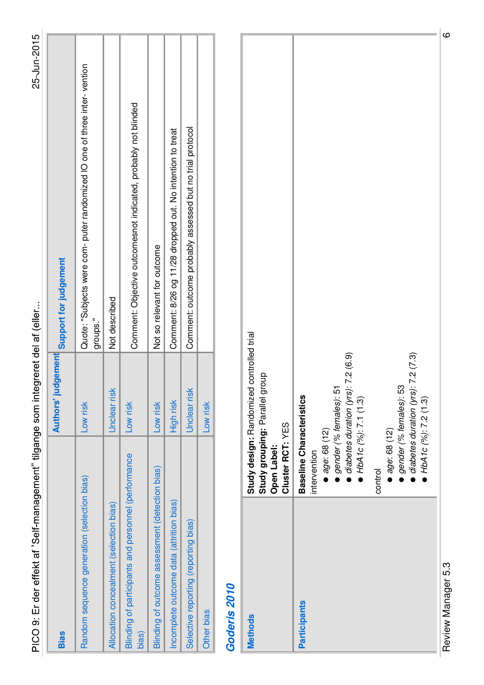| PICO 9: Er der effekt af 'Self-management" tilgange som integreret del af (eller |                                                                                                                                                |                                                                                                                                   | 25-Jun-2015                                                                           |  |
|----------------------------------------------------------------------------------|------------------------------------------------------------------------------------------------------------------------------------------------|-----------------------------------------------------------------------------------------------------------------------------------|---------------------------------------------------------------------------------------|--|
| <b>Bias</b>                                                                      |                                                                                                                                                |                                                                                                                                   | Authors' judgement Support for judgement                                              |  |
| Random sequence generation (selection bias)                                      |                                                                                                                                                | Low risk                                                                                                                          | Quote: "Subjects were com- puter randomized IO one of three inter-vention<br>groups." |  |
| Allocation concealment (selection bias)                                          |                                                                                                                                                | Unclear risk                                                                                                                      | Not described                                                                         |  |
| Blinding of participants and personnel (performance<br>bias)                     |                                                                                                                                                | Low risk                                                                                                                          | Comment: Objective outcomesnot indicated, probably not blinded                        |  |
| Blinding of outcome assessment (detection bias)                                  |                                                                                                                                                | Low risk                                                                                                                          | Not so relevant for outcome                                                           |  |
| Incomplete outcome data (attrition bias)                                         |                                                                                                                                                | High risk                                                                                                                         | Comment: 8/26 og 11/28 dropped out. No intention to treat                             |  |
| Selective reporting (reporting bias)                                             |                                                                                                                                                | Unclear risk                                                                                                                      | Comment: outcome probably assessed but no trial protocol                              |  |
| Other bias                                                                       |                                                                                                                                                | Low risk                                                                                                                          |                                                                                       |  |
| Goderis 2010                                                                     |                                                                                                                                                |                                                                                                                                   |                                                                                       |  |
| <b>Methods</b>                                                                   | Cluster RCT: YES<br><b>Open Label:</b>                                                                                                         | Study design: Randomized controlled trial<br>Study grouping: Parallel group                                                       |                                                                                       |  |
| <b>Participants</b>                                                              | <b>Baseline Characteristics</b><br>• HbA1c $(%)$ : 7.1 (1.3)<br>HbA1c (%): 7.2(1.3)<br>age: 68 (12)<br>age: 68 (12)<br>intervention<br>control | diabetes duration $(yrs)$ : $7.2$ (6.9)<br>diabetes duration (yrs): 7.2 (7.3)<br>gender (% females): 53<br>gender (% females): 51 |                                                                                       |  |

Review Manager 5.3 6 Review Manager 5.3

**Included criteria:** Not described. Randomization at GP level

 $=$ ه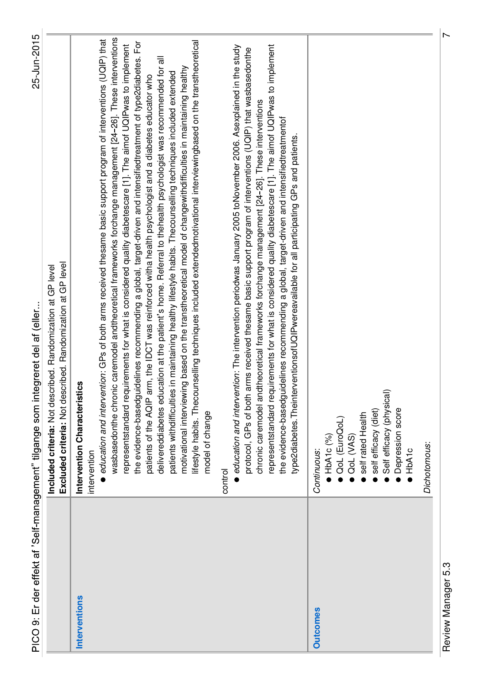|                 | 25-Jun-2015<br>PICO 9: Er der effekt af 'Self-management' tilgange som integreret del af (eller                                                                                                                                                                                                                                                                                                                                                                                                                                                                                                                                                                                                                                                                                                                                                                                                                                                                                                                                                                                                                                                                                                                                                                                                                                                                                                                                                                                                                                                                                                                                                                                                                                                                                                |  |
|-----------------|------------------------------------------------------------------------------------------------------------------------------------------------------------------------------------------------------------------------------------------------------------------------------------------------------------------------------------------------------------------------------------------------------------------------------------------------------------------------------------------------------------------------------------------------------------------------------------------------------------------------------------------------------------------------------------------------------------------------------------------------------------------------------------------------------------------------------------------------------------------------------------------------------------------------------------------------------------------------------------------------------------------------------------------------------------------------------------------------------------------------------------------------------------------------------------------------------------------------------------------------------------------------------------------------------------------------------------------------------------------------------------------------------------------------------------------------------------------------------------------------------------------------------------------------------------------------------------------------------------------------------------------------------------------------------------------------------------------------------------------------------------------------------------------------|--|
|                 | Excluded criteria: Not described. Randomization at GP level<br>Included criteria: Not described. Randomization at GP level                                                                                                                                                                                                                                                                                                                                                                                                                                                                                                                                                                                                                                                                                                                                                                                                                                                                                                                                                                                                                                                                                                                                                                                                                                                                                                                                                                                                                                                                                                                                                                                                                                                                     |  |
| Interventions   | wasbasedonthe chronic caremodel andtheoretical frameworks forchange management [24-26]. These interventions<br>education and intervention: GPs of both arms received thesame basic support program of interventions (UQIP) that<br>lifestyle habits. Thecounselling techniques included extendedmotivational interviewingbased on the transtheoretical<br>the evidence-basedguidelines recommending a global, target-driven and intensifiedtreatment of type2diabetes. For<br>representstandard requirements for what is considered quality diabetescare [1]. The aimof UQIPwas to implement<br>representstandard requirements for what is considered quality diabetescare [1]. The aimof UQIPwas to implement<br>education and intervention: The intervention periodwas January 2005 toNovember 2006. Asexplained in the study<br>protocol, GPs of both arms received thesame basic support program of interventions (UQIP) that wasbasedonthe<br>delivereddiabetes education at the patient's home. Referral to thehealth psychologist was recommended for all<br>motivational interviewing based on the transtheoretical model of changewithdifficulties in maintaining healthy<br>patients withdifficulties in maintaining healthy lifestyle habits. Thecounselling techniques included extended<br>patients of the AQIP arm, the IDCT was reinforced witha health psychologist and a diabetes educator who<br>chronic caremodel andtheoretical frameworks forchange management [24-26]. These interventions<br>the evidence-basedguidelines recommending a global, target-driven and intensifiedtreatmentof<br>rventionsofUQIPwereavailable for all participating GPs and patients<br>Intervention Characteristics<br>type2diabetes.Theinte<br>model of change<br>intervention<br>control |  |
| <b>Outcomes</b> | Self efficacy (physical)<br>Depression score<br>self efficacy (diet)<br>self rated Health<br>QoL (EuroQoL)<br>QoL (VAS)<br>$\blacktriangleright$ HbA <sub>1</sub> c (%)<br>Dichotomous:<br><b>HbA1c</b><br>Continuous:                                                                                                                                                                                                                                                                                                                                                                                                                                                                                                                                                                                                                                                                                                                                                                                                                                                                                                                                                                                                                                                                                                                                                                                                                                                                                                                                                                                                                                                                                                                                                                         |  |

Review Manager 5.3 7 Review Manager 5.3

 $\overline{\mathcal{L}}$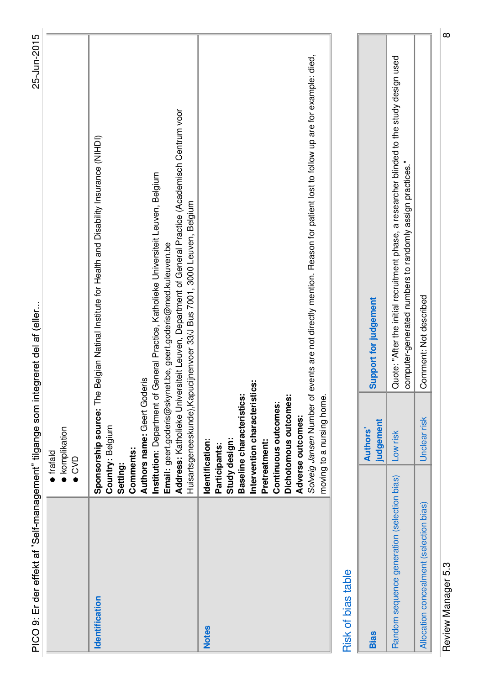| PICO 9: Er der effekt af 'Self-management" tilgange som integreret del af (eller |                                                                                                                                                                                                                                     | 25-Jun-2015                                                                                                                                                                                                                                                                                                                                                                                                    |
|----------------------------------------------------------------------------------|-------------------------------------------------------------------------------------------------------------------------------------------------------------------------------------------------------------------------------------|----------------------------------------------------------------------------------------------------------------------------------------------------------------------------------------------------------------------------------------------------------------------------------------------------------------------------------------------------------------------------------------------------------------|
|                                                                                  | <b>komplikation</b><br>frafald<br>$\bullet$ CVD                                                                                                                                                                                     |                                                                                                                                                                                                                                                                                                                                                                                                                |
| Identification                                                                   | Authors name: Geert Goderis<br>Sponsorship source: The<br>Country: Belgium<br>Comments:<br>Setting:                                                                                                                                 | Address: Katholieke Universiteit Leuven, Department of General Practice (Academisch Centrum voor<br>Belgian Natinal Institute for Health and Disability Insurance (NIHDI)<br>Institution: Department of General Practice, Katholieke Universiteit Leuven, Belgium<br>Huisartsgeneeskunde), Kapucijnenvoer 33/J Bus 7001, 3000 Leuven, Belgium<br>Email: geert.goderis@skynet.be, geert.goderis@med.kuleuven.be |
| <b>Notes</b>                                                                     | Intervention characteristics:<br>Baseline characteristics:<br>Dichotomous outcomes:<br>moving to a nursing home.<br>Continuous outcomes:<br>Adverse outcomes:<br>Study design:<br>Identification:<br>Pretreatment:<br>Participants: | Solveig Jansen Number of events are not directly mention. Reason for patient lost to follow up are for example: died,                                                                                                                                                                                                                                                                                          |
| Risk of bias table                                                               |                                                                                                                                                                                                                                     |                                                                                                                                                                                                                                                                                                                                                                                                                |
| <b>Bias</b>                                                                      | judgement<br><b>Authors'</b>                                                                                                                                                                                                        | Support for judgement                                                                                                                                                                                                                                                                                                                                                                                          |
| Random sequence generation (selection bias)                                      | Low risk                                                                                                                                                                                                                            | Quote: "After the initial recruitment phase, a researcher blinded to the study design used<br>computer-generated numbers to randomly assign practices."                                                                                                                                                                                                                                                        |
| Allocation concealment (selection bias)                                          | Unclear risk                                                                                                                                                                                                                        | Comment: Not described                                                                                                                                                                                                                                                                                                                                                                                         |

Review Manager 5.3 8 Review Manager 5.3

 $\boxed{\infty}$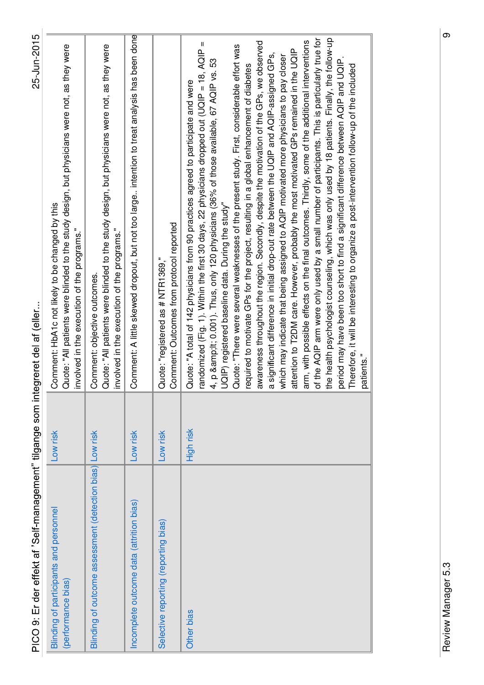| PICO 9: Er der effekt af 'Self-management" tilgange som integreret del af (eller |           | 25-Jun-2015                                                                                                                                                                                                                                                                                                                                                                                                                                                                                                                                                                                                                                                                                                                                                                                                                                                                                                                                                                                                                                                                                                                                                                                                                                                                                                                                                                                                        |
|----------------------------------------------------------------------------------|-----------|--------------------------------------------------------------------------------------------------------------------------------------------------------------------------------------------------------------------------------------------------------------------------------------------------------------------------------------------------------------------------------------------------------------------------------------------------------------------------------------------------------------------------------------------------------------------------------------------------------------------------------------------------------------------------------------------------------------------------------------------------------------------------------------------------------------------------------------------------------------------------------------------------------------------------------------------------------------------------------------------------------------------------------------------------------------------------------------------------------------------------------------------------------------------------------------------------------------------------------------------------------------------------------------------------------------------------------------------------------------------------------------------------------------------|
| <b>Blinding of participants and personnel</b><br>(performance bias)              | Low risk  | Quote: "All patients were blinded to the study design, but physicians were not, as they were<br>Comment: HbA1c not likely to be changed by this<br>involved in the execution of the programs."                                                                                                                                                                                                                                                                                                                                                                                                                                                                                                                                                                                                                                                                                                                                                                                                                                                                                                                                                                                                                                                                                                                                                                                                                     |
| Blinding of outcome assessment (detection bias) Low risk                         |           | Quote: "All patients were blinded to the study design, but physicians were not, as they were<br>involved in the execution of the programs."<br>Comment: objective outcomes                                                                                                                                                                                                                                                                                                                                                                                                                                                                                                                                                                                                                                                                                                                                                                                                                                                                                                                                                                                                                                                                                                                                                                                                                                         |
| Incomplete outcome data (attrition bias)                                         | Low risk  | Comment: A little skewed dropout, but not too large intention to treat analysis has been done                                                                                                                                                                                                                                                                                                                                                                                                                                                                                                                                                                                                                                                                                                                                                                                                                                                                                                                                                                                                                                                                                                                                                                                                                                                                                                                      |
| Selective reporting (reporting bias)                                             | Low risk  | Comment: Outcomes from protocol reported<br>Quote: "registered as # NTR1369,"                                                                                                                                                                                                                                                                                                                                                                                                                                                                                                                                                                                                                                                                                                                                                                                                                                                                                                                                                                                                                                                                                                                                                                                                                                                                                                                                      |
| Other bias                                                                       | High risk | of the AQIP arm were only used by a small number of participants. This is particularly true for<br>the health psychologist counseling, which was only used by 18 patients. Finally, the follow-up<br>arm, with possible effects on the final outcomes. Thirdly, some of the additional interventions<br>awareness throughout the region. Secondly, despite the motivation of the GPs, we observed<br>randomized (Fig. 1). Within the first 30 days, 22 physicians dropped out (UQIP = 18, AQIP =<br>Quote: "There were several weaknesses of the present study. First, considerable effort was<br>attention to T2DM care. However, probably the most motivated GPs remained in the UQIP<br>a significant difference in initial drop-out rate between the UQIP and AQIP-assigned GPs,<br>which may indicate that being assigned to AQIP motivated more physicians to pay closer<br>period may have been too short to find a significant difference between AQIP and UQIP.<br>53<br>Therefore, it will be interesting to organize a post-intervention follow-up of the included<br>required to motivate GPs for the project, resulting in a global enhancement of diabetes<br>4, p < 0.001). Thus, only 120 physicians (36% of those available, 67 AQIP vs.<br>Quote: "A total of 142 physicians from 90 practices agreed to participate and were<br>UQIP) registered baseline data. During the study"<br>patients." |

စာ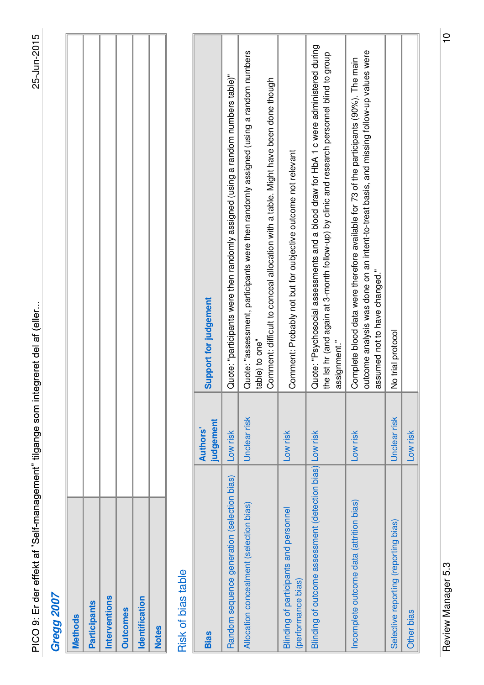| 1 16 197<br>;<br>;                  |
|-------------------------------------|
|                                     |
|                                     |
|                                     |
|                                     |
|                                     |
|                                     |
|                                     |
|                                     |
|                                     |
|                                     |
|                                     |
|                                     |
|                                     |
|                                     |
| <b>こうきょう こうこう りょうこう こうこう こうこうしょ</b> |
|                                     |
|                                     |
|                                     |
| $\ddot{ }$                          |
|                                     |
|                                     |
|                                     |
|                                     |
|                                     |
|                                     |
|                                     |
|                                     |
|                                     |
|                                     |
|                                     |
|                                     |
|                                     |
|                                     |
|                                     |
| こうりょう こうりょう こうしょう                   |
|                                     |
|                                     |
| ֓׆<br>׆֓֓֓֓֓֓֓֓֓֓֓֓                 |
| -<br>3<br>-                         |
|                                     |
|                                     |
|                                     |
|                                     |
|                                     |
|                                     |
|                                     |
|                                     |
|                                     |
|                                     |
|                                     |
| うちつる シンソン<br>È<br>PICO 9·           |

### **Gregg 2007**

| <b>Methods</b>      |  |
|---------------------|--|
| <b>Participants</b> |  |
| Interventions       |  |
| <b>Outcomes</b>     |  |
| Identification      |  |
| <b>Notes</b>        |  |
|                     |  |

#### Risk of bias table Risk of bias table

| <b>Bias</b>                                                  | judgement<br><b>Authors</b> | Support for judgement                                                                                                                                                                                                |
|--------------------------------------------------------------|-----------------------------|----------------------------------------------------------------------------------------------------------------------------------------------------------------------------------------------------------------------|
| Random sequence generation (selection bias)                  | Low risk                    | Quote: "participants were then randomly assigned (using a random numbers table)"                                                                                                                                     |
| Allocation concealment (selection bias)                      | Unclear risk                | Quote: "assessment, participants were then randomly assigned (using a random numbers<br>Comment: difficult to conceal allocation with a table. Might have been done though<br>table) to one"                         |
| Blinding of participants and personnel<br>(performance bias) | Low risk                    | Comment: Probably not but for oubjective outcome not relevant                                                                                                                                                        |
| Blinding of outcome assessment (detection bias) Low risk     |                             | Quote: "Psychosocial assessments and a blood draw for HbA 1 c were administered during<br>the lst hr (and again at 3-month follow-up) by clinic and research personnel blind to group<br>assignment."                |
| Incomplete outcome data (attrition bias)                     | -ow risk                    | outcome analysis was done on an intent-to-treat basis, and missing follow-up values were<br>Complete blood data were therefore available for 73 of the participants (90%). The main<br>assumed not to have changed." |
| Selective reporting (reporting bias)                         | <b>Jnclear</b> risk         | No trial protocol                                                                                                                                                                                                    |
| <b>Other bias</b>                                            | Low risk                    |                                                                                                                                                                                                                      |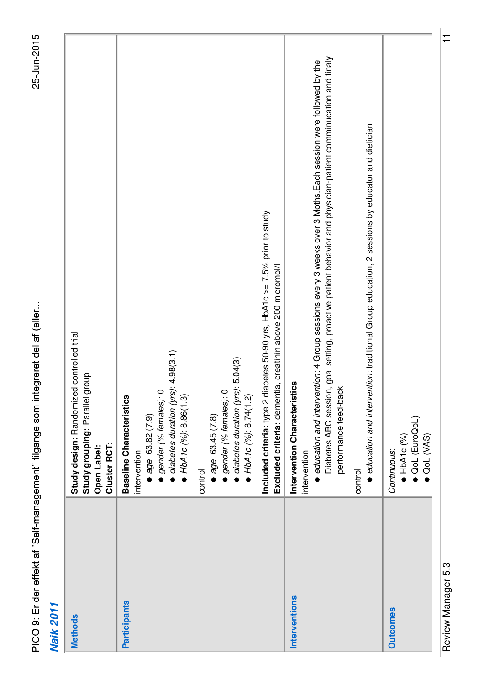| PICO 9: Er der effekt af 'Self-management'' tilgange som integreret del af (eller |
|-----------------------------------------------------------------------------------|
|                                                                                   |
|                                                                                   |
|                                                                                   |
|                                                                                   |
|                                                                                   |
|                                                                                   |
|                                                                                   |
|                                                                                   |
|                                                                                   |
|                                                                                   |
|                                                                                   |
|                                                                                   |
|                                                                                   |
|                                                                                   |
|                                                                                   |
|                                                                                   |
|                                                                                   |
|                                                                                   |
|                                                                                   |
|                                                                                   |
|                                                                                   |
|                                                                                   |
|                                                                                   |
|                                                                                   |
|                                                                                   |
|                                                                                   |
|                                                                                   |
|                                                                                   |
|                                                                                   |
|                                                                                   |
|                                                                                   |
|                                                                                   |
|                                                                                   |
|                                                                                   |
|                                                                                   |
|                                                                                   |
|                                                                                   |
|                                                                                   |

### **Naik 2011**

| I AFT VIPA           |                                                                                                                                                                                                                                                                                                      |
|----------------------|------------------------------------------------------------------------------------------------------------------------------------------------------------------------------------------------------------------------------------------------------------------------------------------------------|
| <b>Methods</b>       | Study design: Randomized controlled trial<br>Study grouping: Parallel group<br>Cluster RCT:<br><b>Open Label:</b>                                                                                                                                                                                    |
| <b>Participants</b>  | $\bullet$ diabetes duration (yrs): 4.98(3.1)<br>gender (% females): 0<br>$HbA1c$ (%): 8.86(1.3)<br><b>Baseline Characteristics</b><br>age: 63.82 (7.9)<br>intervention                                                                                                                               |
|                      | diabetes duration (yrs): 5.04(3)<br>gender (% females): 0<br>• HbA1c $(%): 8.74(1.2)$<br>age: 63.45 (7.8)<br>control                                                                                                                                                                                 |
|                      | diabetes 50-90 yrs, HbA1c >= 7.5% prior to study<br>Excluded criteria: dementia, creatinin above 200 micromol/l<br>Included criteria: type 2                                                                                                                                                         |
| <b>Interventions</b> | Diabetes ABC session, goal setting, proactive patient behavior and physician-patient comminucation and finaly<br>education and intervention: 4 Group sessions every 3 weeks over 3 Moths. Each session were followed by the<br>Intervention Characteristics<br>performance feed-back<br>intervention |
|                      | ention: traditional Group education, 2 sessions by educator and dietician<br>education and interv<br>control                                                                                                                                                                                         |
| <b>Outcomes</b>      | OoL (EuroQoL)<br>$\bullet$ HbA1c (%)<br>OOL (VAS)<br>Continuous:                                                                                                                                                                                                                                     |

Review Manager 5.3 11 Review Manager 5.3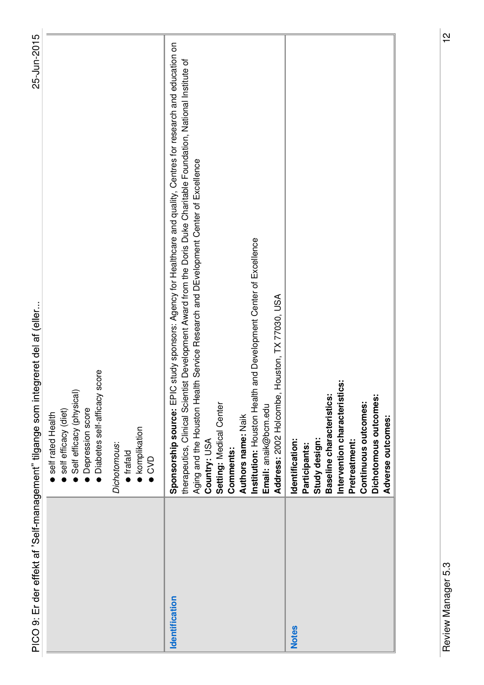|                | 25-Jun-2015<br>PICO 9: Er der effekt af 'Self-management" tilgange som integreret del af (eller                                                                                                                                                                                                                                                                                                                                                                                                                                                                      |
|----------------|----------------------------------------------------------------------------------------------------------------------------------------------------------------------------------------------------------------------------------------------------------------------------------------------------------------------------------------------------------------------------------------------------------------------------------------------------------------------------------------------------------------------------------------------------------------------|
|                | score<br>Self efficacy (physical)<br>· Diabetes self-afficacy<br>Depression score<br>self efficacy (diet)<br>self rated Health<br><b>•</b> komplikation<br>Dichotomous:<br>$\bullet$ frafald<br>$\bullet$ CVD                                                                                                                                                                                                                                                                                                                                                        |
| Identification | Sponsorship source: EPIC study sponsors: Agency for Healthcare and quality, Centres for research and education on<br>therapeutics, Clinical Scientist Development Award from the Doris Duke Charitable Foundation, National Institute of<br>Aging and the Houston Health Service Research and DEvelopment Center of Excellence<br>Institution: Houston Health and Development Center of Excellence<br>Houston, TX 77030, USA<br>Address: 2002 Holcombe,<br>Setting: Medical Center<br>Email: anaik@bcm.edu<br>Authors name: Naik<br>Country: USA<br><b>Comments:</b> |
| <b>Notes</b>   | Intervention characteristics:<br>Baseline characteristics:<br>Dichotomous outcomes:<br>Continuous outcomes:<br>Adverse outcomes:<br>Study design:<br>Identification:<br>Pretreatment:<br>Participants:                                                                                                                                                                                                                                                                                                                                                               |

Review Manager 5.3 12 Review Manager 5.3

 $\frac{1}{2}$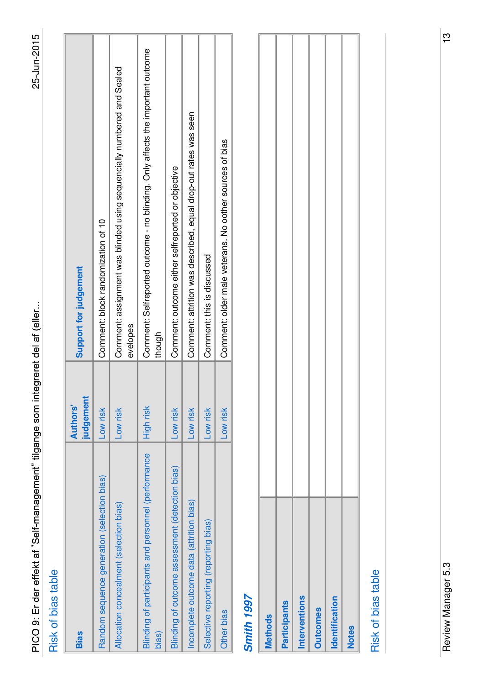### Risk of bias table

| <b>Bias</b>                                                  | judgemenr<br><b>Authors'</b> | <b>Support for judgement</b>                                                              |
|--------------------------------------------------------------|------------------------------|-------------------------------------------------------------------------------------------|
| Random sequence generation (selection bias)                  | Low risk                     | Comment: block randomization of 10                                                        |
| Allocation concealment (selection bias)                      | Low risk                     | Comment: assignment was blinded using sequencially numbered and Sealed<br>evelopes        |
| Blinding of participants and personnel (performance<br>bias) | High risk                    | Comment: Selfreported outcome - no blinding. Only affects the important outcome<br>though |
| Blinding of outcome assessment (detection bias)              | _ow risk                     | Comment: outcome either selfreported or objective                                         |
| ncomplete outcome data (attrition bias)                      | _ow risk                     | Comment: attrition was described, equal drop-out rates was seen                           |
| Selective reporting (reporting bias)                         | Low risk                     | Comment: this is discussed                                                                |
| <b>Other bias</b>                                            | Low risk                     | Comment: older male veterans. No oother sources of bias                                   |
|                                                              |                              |                                                                                           |

### **Smith 1997**

| <b>Methods</b>      |  |
|---------------------|--|
| <b>Participants</b> |  |
| Interventions       |  |
| <b>Outcomes</b>     |  |
| Identification      |  |
| <b>Notes</b>        |  |
|                     |  |

#### Risk of bias table Risk of bias table

 $\overline{1}$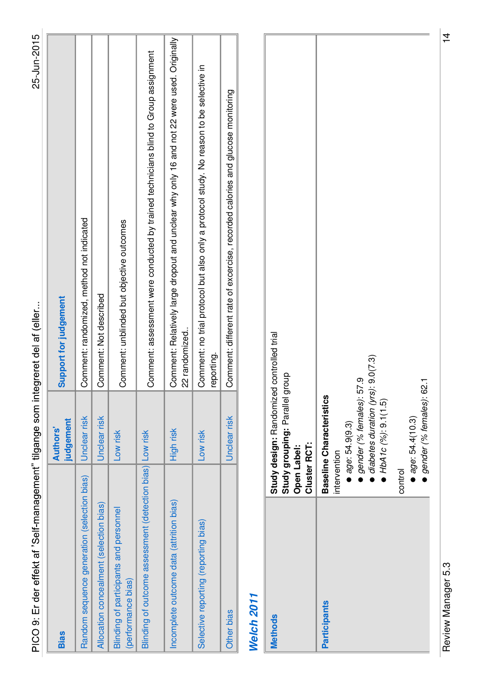| $\overline{1}$          |  |
|-------------------------|--|
| j<br>;                  |  |
|                         |  |
|                         |  |
| $\frac{1}{2}$           |  |
|                         |  |
| $\frac{1}{2}$<br>.<br>( |  |
| ;<br>;<br>:<br>!        |  |
| ううつうこう<br>レーくくこく        |  |
|                         |  |

| <b>Bias</b>                                                  | judgement<br><b>Authors'</b> | Support for judgement                                                                                  |
|--------------------------------------------------------------|------------------------------|--------------------------------------------------------------------------------------------------------|
| Random sequence generation (selection bias)                  | Unclear risk                 | Comment: randomized, method not indicated                                                              |
| Allocation concealment (selection bias)                      | Jnclear risk                 | Comment: Not described                                                                                 |
| Blinding of participants and personnel<br>(performance bias) | Low risk                     | Comment: unblinded but objective outcomes                                                              |
| Blinding of outcome assessment (detection bias) Low risk     |                              | Comment: assessment were conducted by trained technicians blind to Group assignment                    |
| Incomplete outcome data (attrition bias)                     | High risk                    | Comment: Relatively large dropout and unclear why 16 and not 22 were used. Originally<br>22 randomized |
| Selective reporting (reporting bias)                         | Low risk                     | Comment: no trial protocol but also only a protocol study. No reason to be selective in<br>reporting.  |
| <b>Other bias</b>                                            | Unclear risk                 | Comment: different rate of excercise, recorded calories and glucose monitoring                         |
|                                                              |                              |                                                                                                        |

### **Welch 2011**

| Study design: Randomized controlled trial<br>Study grouping: Parallel group<br>Cluster RCT:<br>Open Label: | $idi$ diabetes duration (yrs): $9.0(7.3)$<br>gender (% females): 57.9<br>gender (% females): 62.1<br><b>Baseline Characteristics</b><br>$HbA1c$ (%): 9.1(1.5)<br>age: 54.4(10.3)<br>age: 54.9(9.3)<br>intervention<br>control |
|------------------------------------------------------------------------------------------------------------|-------------------------------------------------------------------------------------------------------------------------------------------------------------------------------------------------------------------------------|
| <b>Methods</b>                                                                                             | <b>Participants</b>                                                                                                                                                                                                           |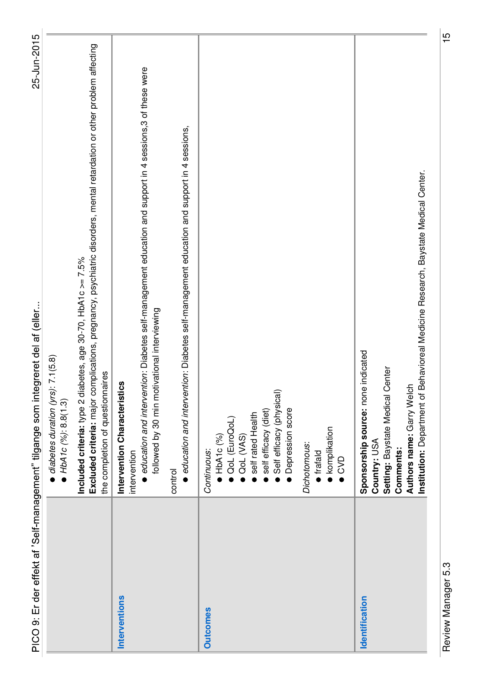|                      | 25-Jun-2015<br>PICO 9: Er der effekt af 'Self-management' tilgange som integreret del af (eller                                                                                                                             |  |
|----------------------|-----------------------------------------------------------------------------------------------------------------------------------------------------------------------------------------------------------------------------|--|
|                      | $\bullet$ diabetes duration (yrs): 7.1(5.8)<br>HDA1C (%): B. B(1.3)                                                                                                                                                         |  |
|                      | Excluded criteria: major complications, pregnancy, psychiatric disorders, mental retardation or other problem affecting<br>Included criteria: type 2 diabetes, age 30-70, HbA1c >= 7.5%<br>the completion of questionnaires |  |
| <b>Interventions</b> | education and intervention: Diabetes self-management education and support in 4 sessions,3 of these were<br>followed by 30 min motivational interviewing<br>Intervention Characteristics<br>intervention                    |  |
|                      | education and intervention: Diabetes self-management education and support in 4 sessions,<br>control                                                                                                                        |  |
| <b>Outcomes</b>      | Self efficacy (physical)<br>Depression score<br>self efficacy (diet)<br>self rated Health<br>OoL (EuroQoL)<br><b>komplikation</b><br>$\bullet$ HbA1c (%)<br>QoL (VAS)<br>Dichotomous:<br>Continuous:<br>frafald<br>CVD      |  |
| Identification       | Behavioreal Medicine Research, Baystate Medical Center.<br>Sponsorship source: none indicated<br>Setting: Baystate Medical Center<br>Authors name: Garry Welch<br>Institution: Department of<br>Country: USA<br>Comments:   |  |

 $\frac{15}{1}$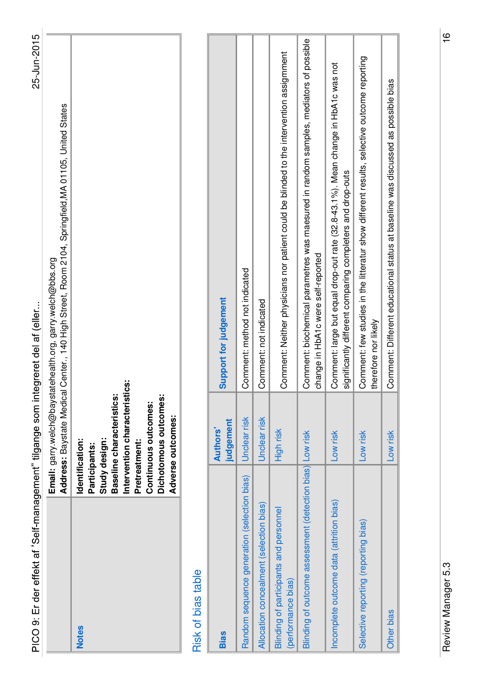| PICO 9: Er der effekt af 'Self-management' tilgange som int  |                                                                                                                                                                                                     | 25-Jun-2015<br>egreret del af (eller                                                                                                                              |  |
|--------------------------------------------------------------|-----------------------------------------------------------------------------------------------------------------------------------------------------------------------------------------------------|-------------------------------------------------------------------------------------------------------------------------------------------------------------------|--|
|                                                              |                                                                                                                                                                                                     | Address: Baystate Medical Center., 140 High Street, Room 2104, Springfield, MA 01105, United States<br>Email: garry.welch@baystatehealth.org, garry.welch@bbs.org |  |
| <b>Notes</b>                                                 | Baseline characteristics:<br>Dichotomous outcomes:<br>Intervention characteristi<br>Continuous outcomes:<br>Adverse outcomes:<br>Study design:<br>Identification:<br>Pretreatment:<br>Participants: | $rac{3}{6}$                                                                                                                                                       |  |
| Risk of bias table                                           |                                                                                                                                                                                                     |                                                                                                                                                                   |  |
| <b>Bias</b>                                                  | judgement<br><b>Authors'</b>                                                                                                                                                                        | Support for judgement                                                                                                                                             |  |
| Random sequence generation (selection bias)                  | Unclear risk                                                                                                                                                                                        | Comment: method not indicated                                                                                                                                     |  |
| Allocation concealment (selection bias)                      | Unclear risk                                                                                                                                                                                        | Comment: not indicated                                                                                                                                            |  |
| Blinding of participants and personnel<br>(performance bias) | High risk                                                                                                                                                                                           | Comment: Neither physicians nor patient could be blinded to the intervention assigmment                                                                           |  |
| Blinding of outcome assessment (detection bias) Low risk     |                                                                                                                                                                                                     | Comment: biochemical parametres was maesured in random samples, mediators of possible<br>change in HbA1c were self-reported                                       |  |
| Incomplete outcome data (attrition bias)                     | Low risk                                                                                                                                                                                            | Comment: large but equal drop-out rate (32.8-43.1%). Mean change in HbA1c was not<br>significantly different comparing completers and drop-outs                   |  |
| Selective reporting (reporting bias)                         | Low risk                                                                                                                                                                                            | Comment: few studies in the litteratur show different results, selective outcome reporting<br>therefore nor likely                                                |  |

Other bias Lotta Low risk Comment: Different educational status at baseline was discussed as possible bias discussed as possible bias discussed as possible bias discussed as possible bias discussed as possible bias discuss

Low risk

Other bias

Comment: Different educational status at baseline was discussed as possible bias

 $\frac{1}{2}$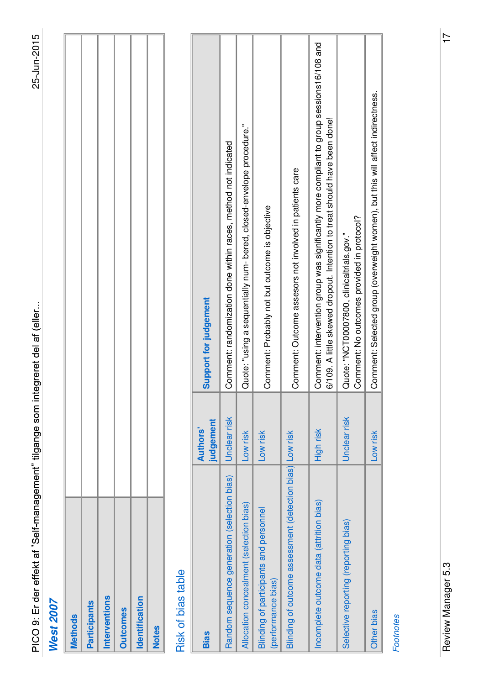| うご サワークす ナンジンジングナミー うろうり りょうりょうごき |
|-----------------------------------|
|                                   |
|                                   |
|                                   |
|                                   |
|                                   |
|                                   |
|                                   |
|                                   |
|                                   |
|                                   |
|                                   |
|                                   |
|                                   |
|                                   |
|                                   |
|                                   |
|                                   |
|                                   |
|                                   |
|                                   |
|                                   |
|                                   |
|                                   |
|                                   |
| こうりょう こうりょう こうこう こうしゃ             |
| こくもく こくてい                         |
|                                   |
|                                   |
|                                   |
|                                   |
|                                   |
|                                   |
|                                   |
|                                   |
| ^ うっいい<br>PICO 9: Er              |
|                                   |
|                                   |
|                                   |
|                                   |
|                                   |

### **West 2007**

| <b>Methods</b>      |  |
|---------------------|--|
| <b>Participants</b> |  |
| Interventions       |  |
| Outcomes            |  |
| Identification      |  |
| <b>Notes</b>        |  |
|                     |  |

#### Risk of bias table Risk of bias table

| <b>Bias</b>                                                         | judgement<br><b>Authors'</b> | Support for judgement                                                                                                                                                 |
|---------------------------------------------------------------------|------------------------------|-----------------------------------------------------------------------------------------------------------------------------------------------------------------------|
| Random sequence generation (selection bias)                         | Unclear risk                 | Comment: randomization done within races, method not indicated                                                                                                        |
| Allocation concealment (selection bias)                             | Low risk                     | Quote: "using a sequentially num- bered, closed-envelope procedure."                                                                                                  |
| <b>Blinding of participants and personnel</b><br>(performance bias) | Low risk                     | Comment: Probably not but outcome is objective                                                                                                                        |
| Blinding of outcome assessment (detection bias) Low risk            |                              | Comment: Outcome assesors not involved in patients care                                                                                                               |
| Incomplete outcome data (attrition bias)                            | High risk                    | Comment: intervention group was significantly more compliant to group sessions16/108 and<br>6/109. A little skewed dropout. Intention to treat should have been done! |
| Selective reporting (reporting bias)                                | Unclear risk                 | Comment: No outcomes provided in protocol?<br>Quote: "NCT00007800, clinicaltrials.gov."                                                                               |
| <b>Other bias</b>                                                   | Low risk                     | Comment: Selected group (overweight women), but this will affect indirectness.                                                                                        |

Footnotes Footnotes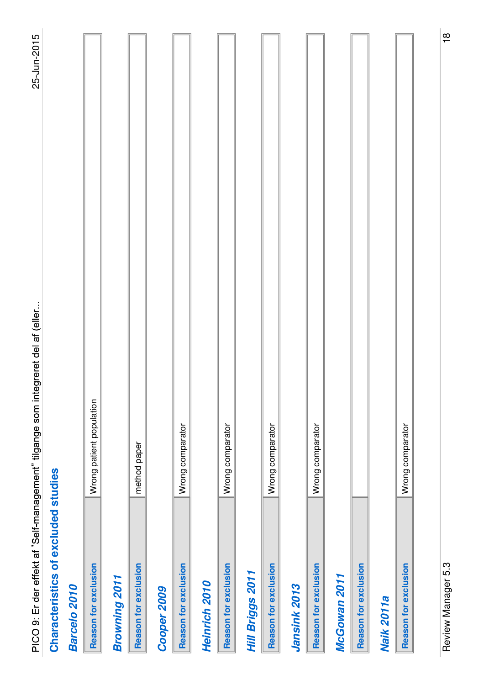# Characteristics of excluded studies **Characteristics of excluded studies**

| Barcelo 2010                |                          |
|-----------------------------|--------------------------|
| Reason for exclusion        | Wrong patient population |
| Browning 2011               |                          |
| Reason for exclusion        | method paper             |
| Cooper 2009                 |                          |
| <b>Reason for exclusion</b> | Wrong comparator         |
| Heinrich 2010               |                          |
| Reason for exclusion        | Wrong comparator         |
| Hill Briggs 2011            |                          |
| Reason for exclusion        | Wrong comparator         |
| <b>Jansink 2013</b>         |                          |
| Reason for exclusion        | Wrong comparator         |

#### McGowan 2011 **McGowan 2011**

 $\begin{array}{c} \hline \end{array}$ 

### **Naik 2011a**

| Ē | ÿ<br>.<br>המאמר המא האי האי ה |
|---|-------------------------------|
|   |                               |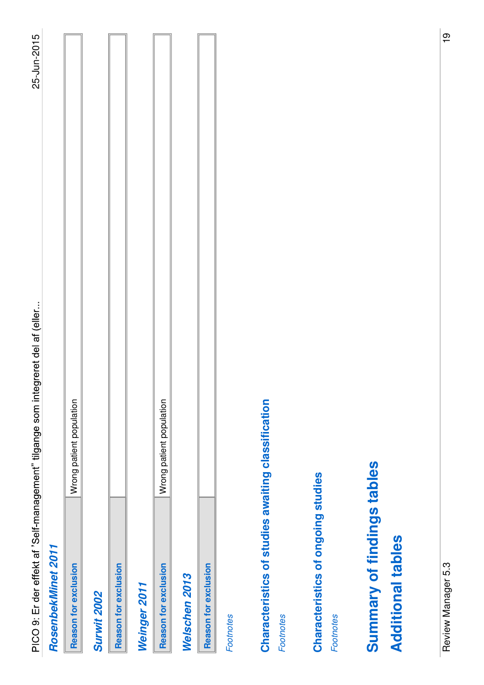| i                                         |
|-------------------------------------------|
|                                           |
|                                           |
| いちく こうこく りょうこう                            |
|                                           |
| .<br>.                                    |
|                                           |
|                                           |
| :<br> <br>                                |
| ֞                                         |
| $\frac{1}{2}$<br>$\overline{\phantom{a}}$ |
| くくこ<br>֖֚֚֬                               |

#### RosenbekMinet 2011 **RosenbekMinet 2011**

| Reason for exclusion        | Wrong patient population |
|-----------------------------|--------------------------|
| Surwit 2002                 |                          |
| <b>Reason for exclusion</b> |                          |

### **Weinger 2011**

| i<br>$\frac{1}{2}$<br>a a a i a a t<br>l<br>١<br>l |
|----------------------------------------------------|
| $\frac{a}{1}$<br>i                                 |

#### Welschen 2013 **Welschen 2013**

Reason for exclusion **Reason for exclusion**

**Footnotes** 

# Characteristics of studies awaiting classification **Characteristics of studies awaiting classification**

**Footnotes** 

# Characteristics of ongoing studies **Characteristics of ongoing studies**

**Footnotes** 

# Summary of findings tables **Summary of findings tables**

### **Additional tables Additional tables**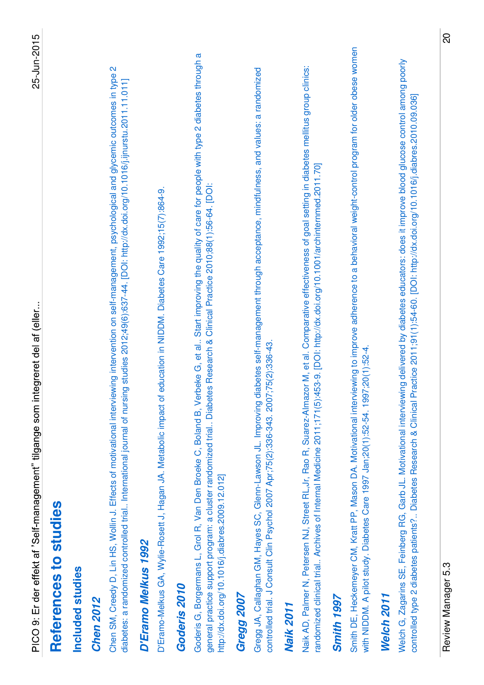| $\frac{1}{1}$<br>$2 + 2 + 7$       |
|------------------------------------|
| -<br>3                             |
| ;                                  |
|                                    |
| りょうこう うよこ うろん りょう                  |
|                                    |
| <b>NO 2010</b><br>-<br>-<br>-<br>- |
|                                    |
| $\mathbf{C}$                       |
| )<br>)<br>]<br>.<br>ו<br>ً<br>ا    |
| .<br>.<br>.<br>֞                   |
|                                    |
| )<br>]<br>.                        |
|                                    |
| $\frac{1}{2}$<br>-<br>]<br>֖֚֚֚֬   |
| C                                  |

### References to studies **References to studies**

Included studies **Included studies**

### **Chen 2012**

Chen SM, Creedy D, Lin HS, Wollin J. Effects of motivational interviewing intervention on self-management, psychological and glycemic outcomes in type 2 Chen SM, Creedy D, Lin HS, Wollin J. Effects of motivational interviewing intervention on self-management, psychological and glycemic outcomes in type 2 diabetes: a randomized controlled trial.. International journal of nursing studies 2012;49(6):637-44. [DOI: http://dx.doi.org/10.1016/j.ijnurstu.2011.11.011] diabetes: a randomized controlled trial.. International journal of nursing studies 2012;49(6):637-44. [DOI: http://dx.doi.org/10.1016/j.ijnurstu.2011.11.011]

### D'Eramo Melkus 1992 **D'Eramo Melkus 1992**

D'Eramo-Melkus GA, Wylle-Rosett J, Hagan JA. Metabolic impact of education in NIDDM. Diabetes Care 1992;15(7):864-9. D'Eramo-Melkus GA, Wylie-Rosett J, Hagan JA. Metabolic impact of education in NIDDM. Diabetes Care 1992;15(7):864-9.

### **Goderis 2010**

Goderis G, Borgermans L, Grol R, Van Den Broeke C, Boland B, Verbeke G, et al.. Start improving the quality of care for people with type 2 diabetes through a Goderis G, Borgermans L, Grol R, Van Den Broeke C, Boland B, Verbeke G, et al.. Start improving the quality of care for people with type 2 diabetes through a general practice support program: a cluster randomized trial.. Diabetes Research & Clinical Practice 2010;88(1):56-64. [DOI: general practice support program: a cluster randomized trial.. Diabetes Research & Clinical Practice 2010;88(1):56-64. [DOI: http://dx.doi.org/10.1016/j.diabres.2009.12.012] http://dx.doi.org/10.1016/j.diabres.2009.12.012]

### **Gregg 2007**

Gregg JA, Callaghan GM, Hayes SC, Glenn-Lawson JL. Improving diabetes self-management through acceptance, mindfulness, and values: a randomized Gregg JA, Callaghan GM, Hayes SC, Glenn-Lawson JL. Improving diabetes self-management through acceptance, mindfulness, and values: a randomized controlled trial. J Consult Clin Psychol 2007 Apr;75(2):336-343. 2007;75(2):336-43. controlled trial. J Consult Clin Psychol 2007 Apr;75(2):336-343. 2007;75(2):336-43.

#### **Naik 2011**

Naik AD, Palmer N, Petersen NJ, Street RL,Jr, Rao R, Suarez-Almazor M, et al. Comparative effectiveness of goal setting in diabetes mellitus group clinics: Naik AD, Palmer N, Petersen NJ, Street RL,Jr, Rao R, Suarez-Almazor M, et al. Comparative effectiveness of goal setting in diabetes mellitus group clinics: randomized clinical trial.. Archives of Internal Medicine 2011;171(5):453-9. [DOI: http://dx.doi.org/10.1001/archinternmed.2011.70] randomized clinical trial.. Archives of Internal Medicine 2011;171(5):453-9. [DOI: http://dx.doi.org/10.1001/archinternmed.2011.70]

### **Smith 1997**

Smith DE, Heckemeyer CM, Kratt PP, Mason DA. Motivational interviewing to improve adherence to a behavioral weight-control program for older obese women Smith DE, Heckemeyer CM, Kratt PP, Mason DA. Motivational interviewing to improve adherence to a behavioral weight-control program for older obese women with NIDDM. A pilot study. Diabetes Care 1997 Jan;20(1):52-54. 1997;20(1):52-4. with NIDDM. A pilot study. Diabetes Care 1997 Jan;20(1):52-54. 1997;20(1):52-4.

### **Welch 2011**

Welch G, Zagarins SE, Feinberg RG, Garb JL. Motivational interviewing delivered by diabetes educators: does it improve blood glucose control among poorly Welch G, Zagarins SE, Feinberg RG, Garb JL. Motivational interviewing delivered by diabetes educators: does it improve blood glucose control among poorly controlled type 2 diabetes patients?.. Diabetes Research & Clinical Practice 2011;91(1):54-60. [DOI: http://dx.doi.org/10.1016/j.diabres.2010.09.036] controlled type 2 diabetes patients?.. Diabetes Research & Clinical Practice 2011;91(1):54-60. [DOI: http://dx.doi.org/10.1016/j.diabres.2010.09.036]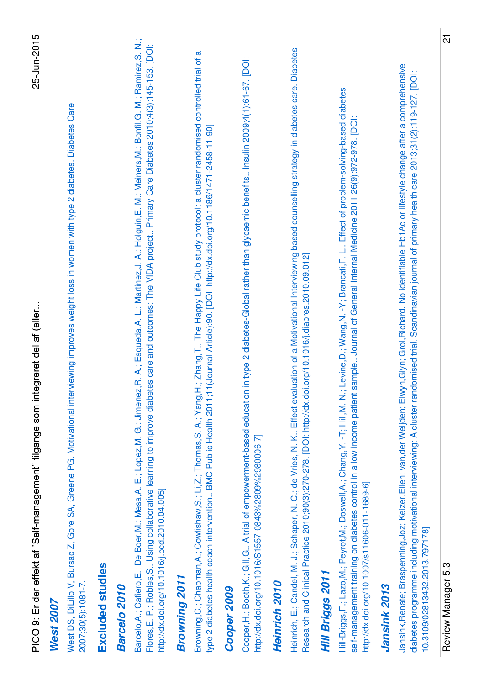| Barcelo, A.; Cafiero, E.; De Boer, M.; Mesa, A. E.; Lopez, M. G.; Jimenez, R. A.; Esqueda, A. L.; Martinez, J. A.; Holguin, E. M.; Meiners, M.; Bonfil, G. M.; Ramirez, S. N.;<br>Flores, E. P.; Robles, S Using collaborative learning to improve diabetes care and outcomes: The VIDA project Primary Care Diabetes 2010;4(3):145-153. [DOI:<br>Browning, C; Chapman, A;; Cowlishaw, S;; Li, Z;; Thomas, S. A;; Yang, H;; Zhang, T The Happy Life Club study protocol: a cluster randomised controlled trial of a<br>West DS, DiLillo V, Bursac Z, Gore SA, Greene PG. Motivational interviewing improves weight loss in women with type 2 diabetes. Diabetes Care<br>type 2 diabetes health coach intervention BMC Public Health 2011;11(Journal Article):90. [DOI: http://dx.doi.org/10.1186/1471-2458-11-90]<br>http://dx.doi.org/10.1016/j.pcd.2010.04.005]<br><b>Excluded studies</b><br>Browning 2011<br>2007;30(5):1081-7<br>Barcelo 2010<br>Cooper 2009 |
|-------------------------------------------------------------------------------------------------------------------------------------------------------------------------------------------------------------------------------------------------------------------------------------------------------------------------------------------------------------------------------------------------------------------------------------------------------------------------------------------------------------------------------------------------------------------------------------------------------------------------------------------------------------------------------------------------------------------------------------------------------------------------------------------------------------------------------------------------------------------------------------------------------------------------------------------------------------------|
|                                                                                                                                                                                                                                                                                                                                                                                                                                                                                                                                                                                                                                                                                                                                                                                                                                                                                                                                                                   |
|                                                                                                                                                                                                                                                                                                                                                                                                                                                                                                                                                                                                                                                                                                                                                                                                                                                                                                                                                                   |
|                                                                                                                                                                                                                                                                                                                                                                                                                                                                                                                                                                                                                                                                                                                                                                                                                                                                                                                                                                   |
|                                                                                                                                                                                                                                                                                                                                                                                                                                                                                                                                                                                                                                                                                                                                                                                                                                                                                                                                                                   |
|                                                                                                                                                                                                                                                                                                                                                                                                                                                                                                                                                                                                                                                                                                                                                                                                                                                                                                                                                                   |
|                                                                                                                                                                                                                                                                                                                                                                                                                                                                                                                                                                                                                                                                                                                                                                                                                                                                                                                                                                   |
|                                                                                                                                                                                                                                                                                                                                                                                                                                                                                                                                                                                                                                                                                                                                                                                                                                                                                                                                                                   |
| Cooper, H.; Booth, K.; Gill, G A trial of empowerment-based education in type 2 diabetes-Global rather than glycaemic benefits Insulin 2009;4(1):61-67. [DOI:<br>http://dx.doi.org/10.1016/S1557-0843%2809%2980006-7]                                                                                                                                                                                                                                                                                                                                                                                                                                                                                                                                                                                                                                                                                                                                             |
| Heinrich 2010                                                                                                                                                                                                                                                                                                                                                                                                                                                                                                                                                                                                                                                                                                                                                                                                                                                                                                                                                     |
| Heinrich, E.; Candel, M. J.; Schaper, N. C.; de Vries, N. K Effect evaluation of a Motivational Interviewing based counselling strategy in diabetes care. Diabetes<br>Research and Clinical Practice 2010;90(3):270-278. [DOI: http://dx.doi.org/10.1016/j.diabres.2010.09.012]                                                                                                                                                                                                                                                                                                                                                                                                                                                                                                                                                                                                                                                                                   |
| Hill Briggs 2011                                                                                                                                                                                                                                                                                                                                                                                                                                                                                                                                                                                                                                                                                                                                                                                                                                                                                                                                                  |
| N; Levine, D;; Wang, N. -Y; Brancati, F. L Effect of problem-solving-based diabetes<br>self-management training on diabetes control in a low income patient sample Journal of General Internal Medicine 2011;26(9):972-978. [DOI:<br>Hill-Briggs,F.; Lazo,M.; Peyrot,M.; Doswell,A.; Chang,Y. -T; Hill,M.<br>http://dx.doi.org/10.1007/s11606-011-1689-6]                                                                                                                                                                                                                                                                                                                                                                                                                                                                                                                                                                                                         |
| <b>Jansink 2013</b>                                                                                                                                                                                                                                                                                                                                                                                                                                                                                                                                                                                                                                                                                                                                                                                                                                                                                                                                               |
| Elwyn, Glyn; Grol, Richard. No identifiable Hb1Ac or lifestyle change after a comprehensive<br>randomised trial. Scandinavian journal of primary health care 2013;31(2):119-127. [DOI:<br>Jansink, Renate; Braspenning, Joz; Keizer, Ellen; van, der Weijden;<br>diabetes programme including motivational interviewing: A cluster<br>10.3109/02813432.2013.797178]                                                                                                                                                                                                                                                                                                                                                                                                                                                                                                                                                                                               |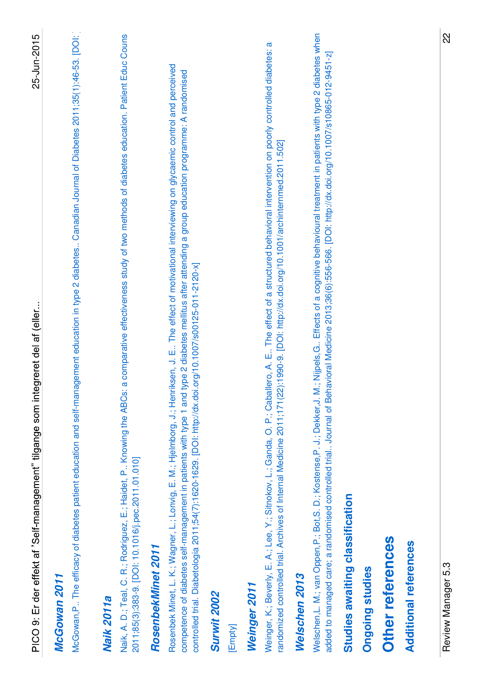| PICO 9: Er der effekt af 'Self-management" tilgange som integreret del af (eller                                                                                                                                                                                                                                                                                                                                                |  |
|---------------------------------------------------------------------------------------------------------------------------------------------------------------------------------------------------------------------------------------------------------------------------------------------------------------------------------------------------------------------------------------------------------------------------------|--|
| McGowan 2011                                                                                                                                                                                                                                                                                                                                                                                                                    |  |
| McGowan,P The efficacy of diabetes patient education and self-management education in type 2 diabetes Canadian Journal of Diabetes 2011;35(1):46-53. [DOI: ]                                                                                                                                                                                                                                                                    |  |
| <b>Naik 2011a</b>                                                                                                                                                                                                                                                                                                                                                                                                               |  |
| Naik, A. D.; Teal, C. R.; Rodriguez, E.; Haidet, P Knowing the ABCs: a comparative effectiveness study of two methods of diabetes education. Patient Educ Couns<br>2011;85(3):383-9. [DOI: 10.1016/j.pec.2011.01.010]                                                                                                                                                                                                           |  |
| RosenbekMinet 2011                                                                                                                                                                                                                                                                                                                                                                                                              |  |
| Rosenbek Minet, L. K.; Wagner, L.; Lonvig, E. M.; Hjelmborg, J.; Henriksen, J. E The effect of motivational interviewing on glycaemic control and perceived<br>competence of diabetes self-management in patients with type 1 and type 2 diabetes mellitus after attending a group education programme: A randomised<br>controlled trial. Diabetologia 2011;54(7):1620-1629. [DOI: http://dx.doi.org/10.1007/s00125-011-2120-x] |  |
| Surwit 2002                                                                                                                                                                                                                                                                                                                                                                                                                     |  |
| [Empty]                                                                                                                                                                                                                                                                                                                                                                                                                         |  |
| Weinger 2011                                                                                                                                                                                                                                                                                                                                                                                                                    |  |
| Weinger, K.; Beverly, E. A.; Lee, Y.; Sitnokov, L.; Ganda, O. P.; Caballero, A. E The effect of a structured behavioral intervention on poorly controlled diabetes: a<br>randomized controlled trial. Archives of Internal Medicine 2011;171(22):1990-9. [DOI: http://dx.doi.org/10.1001/archinternmed.2011.502]                                                                                                                |  |
| Welschen 2013                                                                                                                                                                                                                                                                                                                                                                                                                   |  |
| Welschen, L. M.; van Oppen, P.; Bot, S. D.; Kostense, P. J.; Dekker, J. M.; Nijpels, G Effects of a cognitive behavioural treatment in patients with type 2 diabetes when<br>added to managed care; a randomised controlled trial Journal of Behavioral Medicine 2013;36(6):556-566. [DOI: http://dx.doi.org/10.1007/s10865-012-9451-z]                                                                                         |  |
| Studies awaiting classification                                                                                                                                                                                                                                                                                                                                                                                                 |  |
| <b>Ongoing studies</b>                                                                                                                                                                                                                                                                                                                                                                                                          |  |
| Other references                                                                                                                                                                                                                                                                                                                                                                                                                |  |
| <b>Additional references</b>                                                                                                                                                                                                                                                                                                                                                                                                    |  |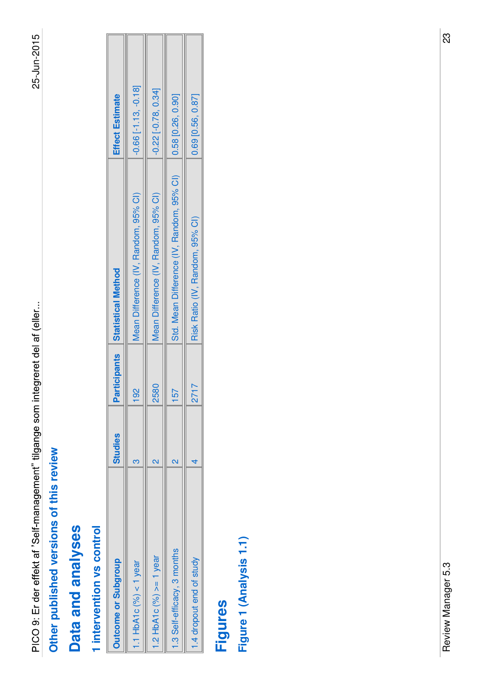# Other published versions of this review **Other published versions of this review**

### Data and analyses **Data and analyses**

### 1 intervention vs control **1 intervention vs control**

| <b>Outcome or Subgroup</b>  | <b>Studies</b> |        | <b>Participants Statistical Method</b>                        | <b>Effect Estimate</b>           |
|-----------------------------|----------------|--------|---------------------------------------------------------------|----------------------------------|
| 1.1 HbA1c $(%) < 1$ year    |                | 9<br>9 | Mean Difference (IV, Random, 95% CI)                          | $\left[-0.66\right[-1.13,-0.18]$ |
| 1.2 HbA1c $(%)$ >= 1 year   |                | 2580   | Mean Difference (IV, Random, 95% CI)                          | $-0.22$ $[-0.78, 0.34]$          |
| 1.3 Self-efficacy, 3 months |                | 157    | Std. Mean Difference (IV, Random, 95% CI)   0.58 [0.26, 0.90] |                                  |
| 1.4 dropout end of study    |                | 2717   | Risk Ratio (IV, Random, 95% CI)                               | 0.69 [0.56, 0.87]                |
|                             |                |        |                                                               |                                  |

### **Figures**

### Figure 1 (Analysis 1.1) **Figure 1 (Analysis 1.1)**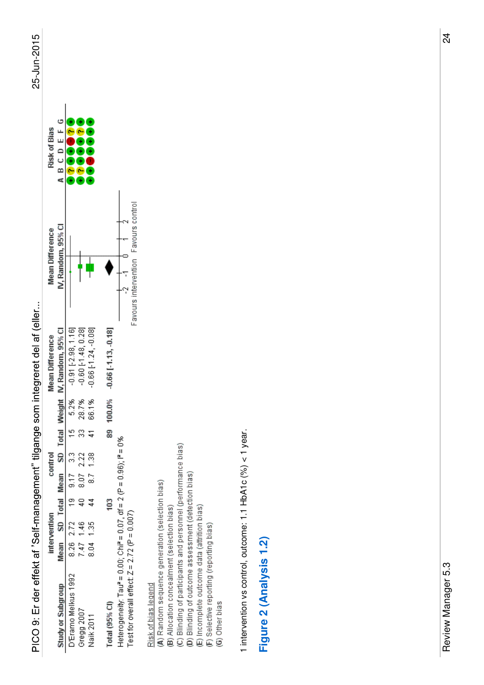

| ц |  |
|---|--|
|   |  |
|   |  |
|   |  |
|   |  |
|   |  |
|   |  |
|   |  |
|   |  |
|   |  |
|   |  |

|                                                                        |              |            |                       |         |      |           | י או און א א האט א א האט א האט א א האט א א האט א א האט א א האט א האט א האט א האט א האט א האט א האט היי א האט א |                                      |              | ∛ |
|------------------------------------------------------------------------|--------------|------------|-----------------------|---------|------|-----------|----------------------------------------------------------------------------------------------------------------|--------------------------------------|--------------|---|
|                                                                        | intervention |            |                       | control |      |           | <b>Mean Difference</b>                                                                                         | Mean Difference                      | Risk of Bias |   |
| Study or Subgroup                                                      |              |            | Mean SD Total Mean SD |         |      |           | Total Weight IV, Random, 95% Cl                                                                                | IV. Random, 95% CI                   | ABCDEFG      |   |
| D'Eramo Melkus 1992                                                    | 8.26 2.72    |            | $19$ $9.17$ 3.3       |         |      | 5.2%      | $-0.91$ [ $-2.98$ , 1.16]                                                                                      |                                      |              |   |
| Gregg 2007                                                             | 7.47 1.46    |            | 40 8.07 2.22          |         | 8    | 28.7%     | $-0.60$ $[-1.48, 0.28]$                                                                                        |                                      |              |   |
| Naik 2011                                                              | 8.04 1.35    |            | $\frac{2}{3}$         | 1.38    |      | 66.1%     | $-0.66$ [-1.24, $-0.08$ ]                                                                                      |                                      |              |   |
| Total (95% CI)                                                         |              | <b>103</b> |                       |         |      | 89 100.0% | $0.66$ [113, 0.18]                                                                                             |                                      |              |   |
| Heterogeneity: Tau* = 0.00; Chi* = 0.07, df = 2 (P = 0.96); l* =       |              |            |                       |         | క్టి |           |                                                                                                                |                                      |              |   |
| Test for overall effect: $Z = 2.72$ (P = 0.007)                        |              |            |                       |         |      |           |                                                                                                                | Favours intervention Favours control |              |   |
| (A) Random sequence generation (selection bias)<br>Risk of bias legend |              |            |                       |         |      |           |                                                                                                                |                                      |              |   |
| (B) Allocation concealment (selection bias)                            |              |            |                       |         |      |           |                                                                                                                |                                      |              |   |
| (C) Blinding of participants and personnel (performance bias           |              |            |                       |         |      |           |                                                                                                                |                                      |              |   |

(D) Blinding of outcome assessment (detection bias)<br>(E) Incomplete outcome data (attrition bias)<br>(F) Selective reporting (reporting bias)<br>(G) Other bias

1 intervention vs control, outcome: 1.1 HbA1c (%) < 1 year. 1 intervention vs control, outcome: 1.1 HbA1c (%) < 1 year.

### Figure 2 (Analysis 1.2) **Figure 2 (Analysis 1.2)**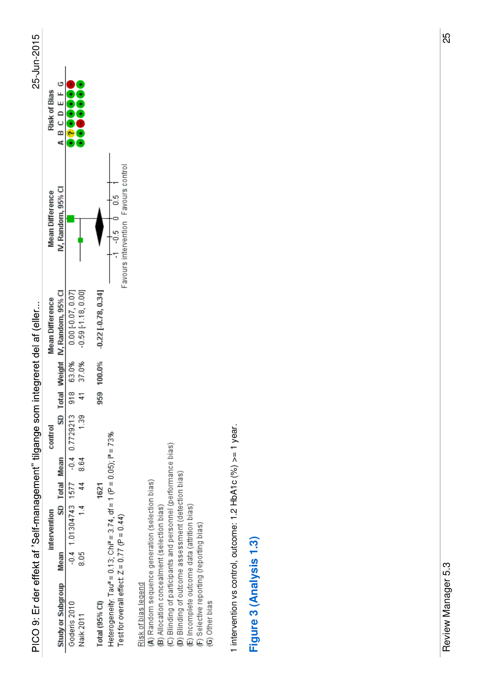

1 intervention vs control, outcome: 1.2 HbA1c  $(%)$  >= 1 year. 1 intervention vs control, outcome: 1.2 HbA1c (%) >= 1 year.

### Figure 3 (Analysis 1.3) **Figure 3 (Analysis 1.3)**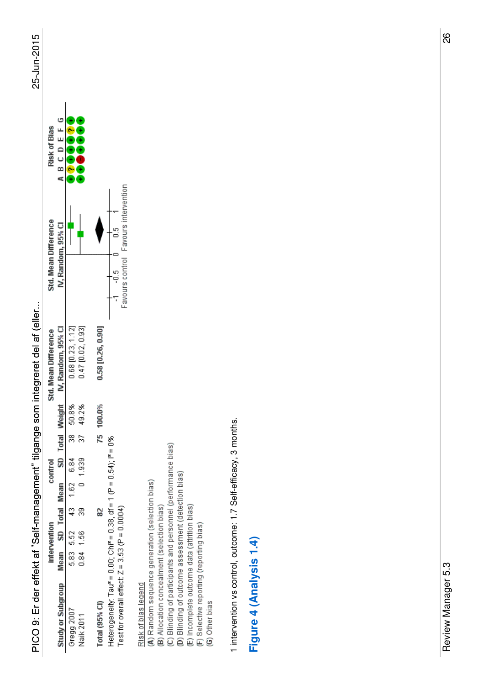PICO 9: Er der effekt af 'Self-management'' tilgange som integreret del af (eller.

| ഥ |  |
|---|--|
|   |  |
|   |  |
|   |  |
|   |  |
|   |  |
|   |  |
|   |  |
|   |  |
|   |  |
|   |  |

|                                                                                     |              |        |                        |         |           |          |                                                                        |                                      |                     | í |
|-------------------------------------------------------------------------------------|--------------|--------|------------------------|---------|-----------|----------|------------------------------------------------------------------------|--------------------------------------|---------------------|---|
|                                                                                     | intervention |        |                        | control |           |          | Std. Mean Difference                                                   | Std. Mean Difference                 | <b>Risk of Bias</b> |   |
|                                                                                     |              |        |                        |         |           |          | Study or Subgroup Mean SD Total Mean SD Total Weight N, Random, 95% Cl | IV. Random, 95% CI                   | ABCDEFG             |   |
| Gregg 2007                                                                          |              |        | 5.83 5.52 43 1.62 6.84 |         |           | 38 50.8% | $0.68$ [ $0.23, 1.12$ ]                                                |                                      |                     |   |
| Naik 2011                                                                           | 0.84 1.56    | თ<br>ო |                        | 0.1939  | $\approx$ | 49.2%    | 0.47 [0.02, 0.93]                                                      |                                      |                     |   |
| Total (95% CI)                                                                      |              | ಜ      |                        |         | 75        | 100.0%   | $0.58$ [0.26, 0.90]                                                    |                                      |                     |   |
|                                                                                     |              |        |                        |         | క్టి      |          |                                                                        |                                      |                     |   |
| Test for overall effect: $Z = 3.53$ (P = 0.0004)                                    |              |        |                        |         |           |          |                                                                        | Favours control Favours intervention |                     |   |
| Risk of bias legend                                                                 |              |        |                        |         |           |          |                                                                        |                                      |                     |   |
| (A) Random sequence generation (selection bias)<br>(D) Alicence concert contraction |              |        |                        |         |           |          |                                                                        |                                      |                     |   |

(B) Allocation concealment (selection bias)<br>(C) Blinding of participants and personnel (performance bias)<br>(D) Blinding of outcome assessment (detection bias)<br>(E) Incomplete outcome data (attrition bias)<br>(F) Selective repor

1 intervention vs control, outcome: 1.7 Self-efficacy, 3 months. 1 intervention vs control, outcome: 1.7 Self-efficacy, 3 months.

### Figure 4 (Analysis 1.4) **Figure 4 (Analysis 1.4)**